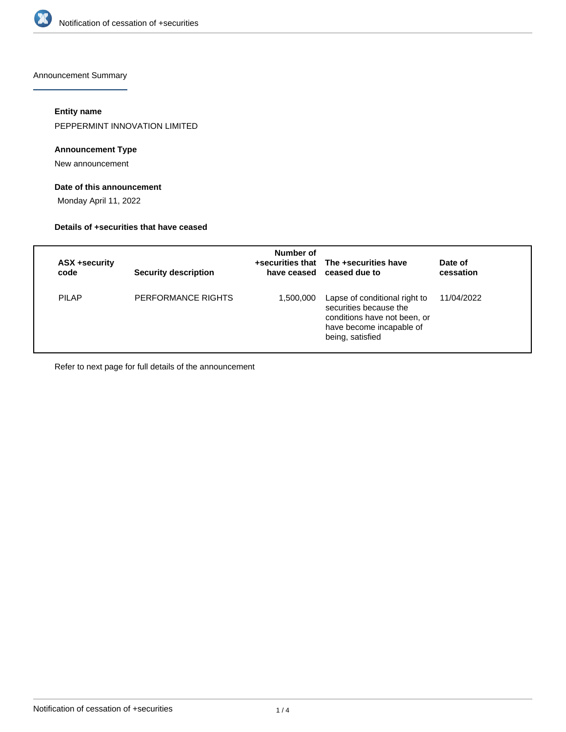

Announcement Summary

#### **Entity name**

PEPPERMINT INNOVATION LIMITED

#### **Announcement Type**

New announcement

## **Date of this announcement**

Monday April 11, 2022

#### **Details of +securities that have ceased**

| ASX +security<br>code | <b>Security description</b> | Number of | +securities that The +securities have<br>have ceased ceased due to                                                                      | Date of<br>cessation |
|-----------------------|-----------------------------|-----------|-----------------------------------------------------------------------------------------------------------------------------------------|----------------------|
| <b>PILAP</b>          | PERFORMANCE RIGHTS          | 1,500,000 | Lapse of conditional right to<br>securities because the<br>conditions have not been, or<br>have become incapable of<br>being, satisfied | 11/04/2022           |

Refer to next page for full details of the announcement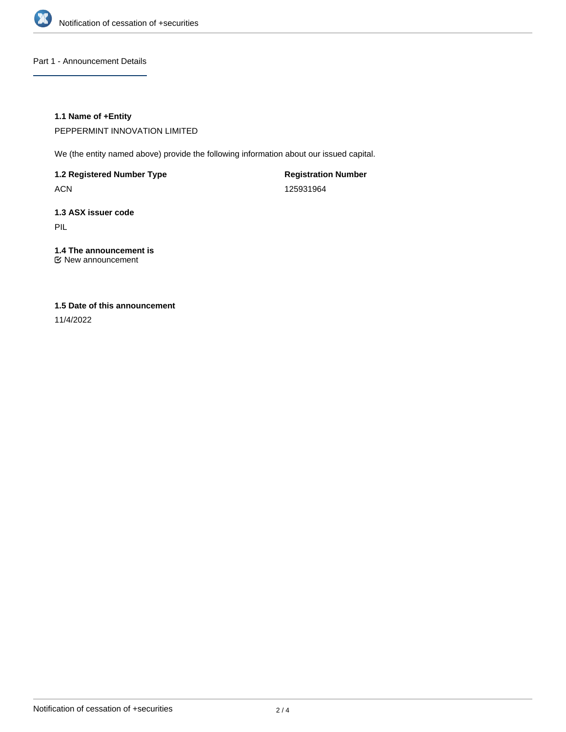

Part 1 - Announcement Details

## **1.1 Name of +Entity**

PEPPERMINT INNOVATION LIMITED

We (the entity named above) provide the following information about our issued capital.

**1.2 Registered Number Type**

ACN

**Registration Number** 125931964

# **1.3 ASX issuer code**

PIL

## **1.4 The announcement is**

New announcement

## **1.5 Date of this announcement**

11/4/2022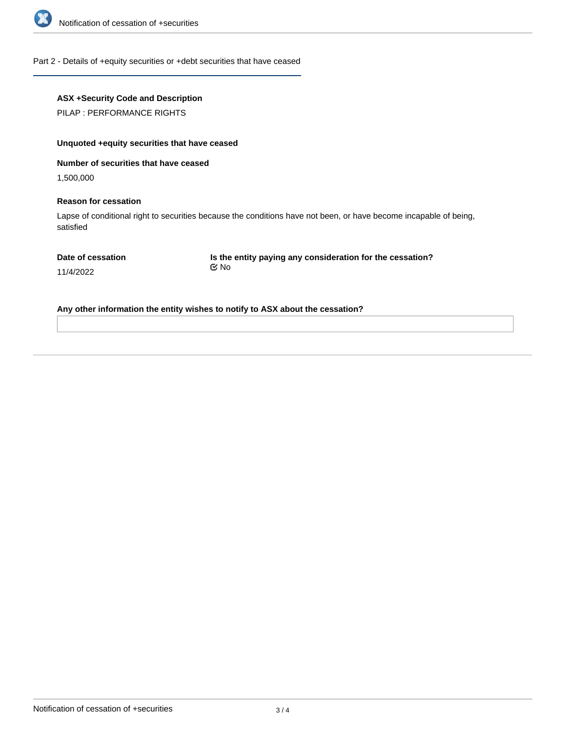

#### Part 2 - Details of +equity securities or +debt securities that have ceased

## **ASX +Security Code and Description**

PILAP : PERFORMANCE RIGHTS

## **Unquoted +equity securities that have ceased**

#### **Number of securities that have ceased**

1,500,000

#### **Reason for cessation**

Lapse of conditional right to securities because the conditions have not been, or have become incapable of being, satisfied

| Date of cessation |
|-------------------|
|-------------------|

**Is the entity paying any consideration for the cessation?** No

11/4/2022

**Any other information the entity wishes to notify to ASX about the cessation?**